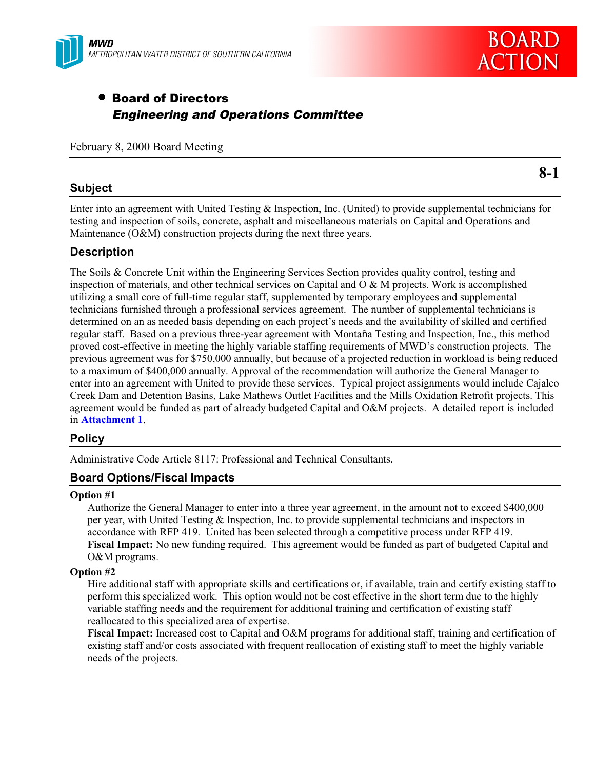

# • Board of Directors Engineering and Operations Committee

February 8, 2000 Board Meeting

**8-1**

## **Subject**

Enter into an agreement with United Testing & Inspection, Inc. (United) to provide supplemental technicians for testing and inspection of soils, concrete, asphalt and miscellaneous materials on Capital and Operations and Maintenance (O&M) construction projects during the next three years.

# **Description**

The Soils & Concrete Unit within the Engineering Services Section provides quality control, testing and inspection of materials, and other technical services on Capital and  $\overline{O} \& M$  projects. Work is accomplished utilizing a small core of full-time regular staff, supplemented by temporary employees and supplemental technicians furnished through a professional services agreement. The number of supplemental technicians is determined on an as needed basis depending on each project's needs and the availability of skilled and certified regular staff. Based on a previous three-year agreement with Montaña Testing and Inspection, Inc., this method proved cost-effective in meeting the highly variable staffing requirements of MWD's construction projects. The previous agreement was for \$750,000 annually, but because of a projected reduction in workload is being reduced to a maximum of \$400,000 annually. Approval of the recommendation will authorize the General Manager to enter into an agreement with United to provide these services. Typical project assignments would include Cajalco Creek Dam and Detention Basins, Lake Mathews Outlet Facilities and the Mills Oxidation Retrofit projects. This agreement would be funded as part of already budgeted Capital and O&M projects. A detailed report is included in **Attachment 1**.

## **Policy**

Administrative Code Article 8117: Professional and Technical Consultants.

# **Board Options/Fiscal Impacts**

#### **Option #1**

Authorize the General Manager to enter into a three year agreement, in the amount not to exceed \$400,000 per year, with United Testing & Inspection, Inc. to provide supplemental technicians and inspectors in accordance with RFP 419. United has been selected through a competitive process under RFP 419. **Fiscal Impact:** No new funding required. This agreement would be funded as part of budgeted Capital and O&M programs.

#### **Option #2**

Hire additional staff with appropriate skills and certifications or, if available, train and certify existing staff to perform this specialized work. This option would not be cost effective in the short term due to the highly variable staffing needs and the requirement for additional training and certification of existing staff reallocated to this specialized area of expertise.

**Fiscal Impact:** Increased cost to Capital and O&M programs for additional staff, training and certification of existing staff and/or costs associated with frequent reallocation of existing staff to meet the highly variable needs of the projects.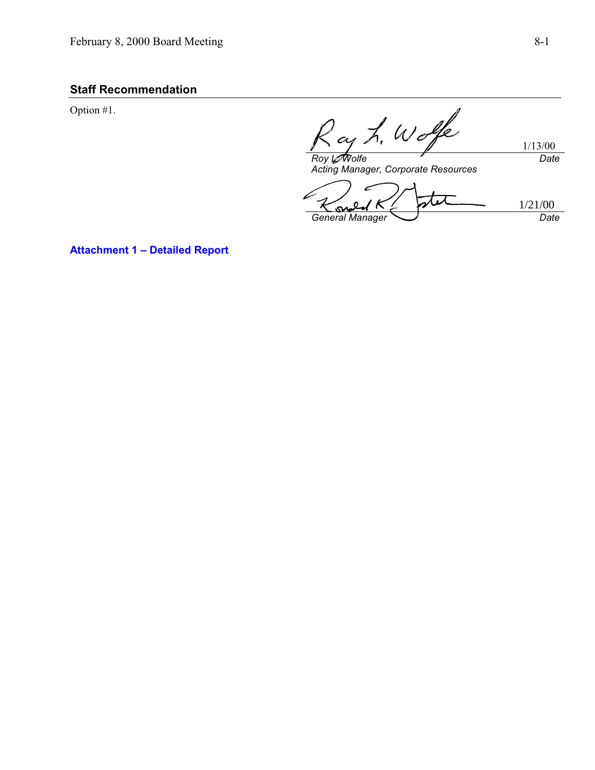# **Staff Recommendation**

Option #1.

Ray L. Wolfe

Acting Manager, Corporate Resources

L 1/21/00' K Ҡ  $\Omega$ o,  $G$  General Manager  $\overbrace{C}$  Date

**Attachment 1 – Detailed Report**

1/13/00

**Date**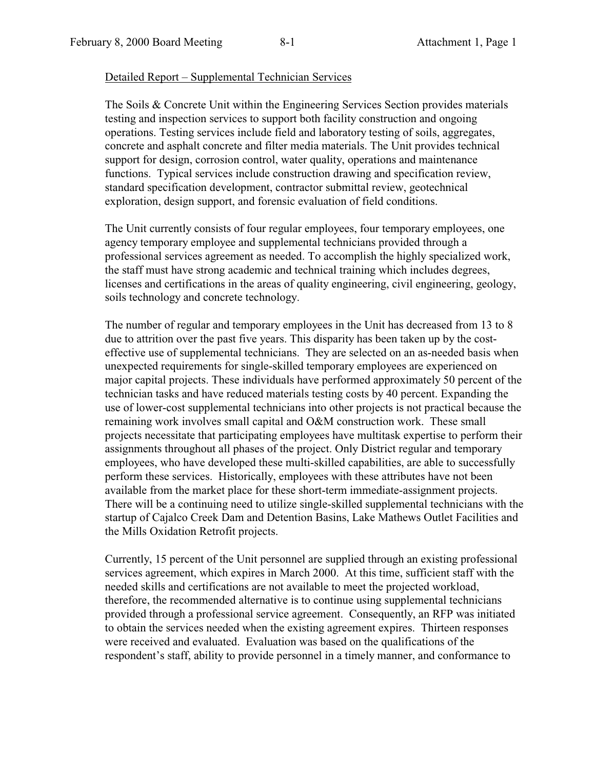#### Detailed Report – Supplemental Technician Services

The Soils & Concrete Unit within the Engineering Services Section provides materials testing and inspection services to support both facility construction and ongoing operations. Testing services include field and laboratory testing of soils, aggregates, concrete and asphalt concrete and filter media materials. The Unit provides technical support for design, corrosion control, water quality, operations and maintenance functions. Typical services include construction drawing and specification review, standard specification development, contractor submittal review, geotechnical exploration, design support, and forensic evaluation of field conditions.

The Unit currently consists of four regular employees, four temporary employees, one agency temporary employee and supplemental technicians provided through a professional services agreement as needed. To accomplish the highly specialized work, the staff must have strong academic and technical training which includes degrees, licenses and certifications in the areas of quality engineering, civil engineering, geology, soils technology and concrete technology.

The number of regular and temporary employees in the Unit has decreased from 13 to 8 due to attrition over the past five years. This disparity has been taken up by the costeffective use of supplemental technicians. They are selected on an as-needed basis when unexpected requirements for single-skilled temporary employees are experienced on major capital projects. These individuals have performed approximately 50 percent of the technician tasks and have reduced materials testing costs by 40 percent. Expanding the use of lower-cost supplemental technicians into other projects is not practical because the remaining work involves small capital and O&M construction work. These small projects necessitate that participating employees have multitask expertise to perform their assignments throughout all phases of the project. Only District regular and temporary employees, who have developed these multi-skilled capabilities, are able to successfully perform these services. Historically, employees with these attributes have not been available from the market place for these short-term immediate-assignment projects. There will be a continuing need to utilize single-skilled supplemental technicians with the startup of Cajalco Creek Dam and Detention Basins, Lake Mathews Outlet Facilities and the Mills Oxidation Retrofit projects.

Currently, 15 percent of the Unit personnel are supplied through an existing professional services agreement, which expires in March 2000. At this time, sufficient staff with the needed skills and certifications are not available to meet the projected workload, therefore, the recommended alternative is to continue using supplemental technicians provided through a professional service agreement. Consequently, an RFP was initiated to obtain the services needed when the existing agreement expires. Thirteen responses were received and evaluated. Evaluation was based on the qualifications of the respondent's staff, ability to provide personnel in a timely manner, and conformance to